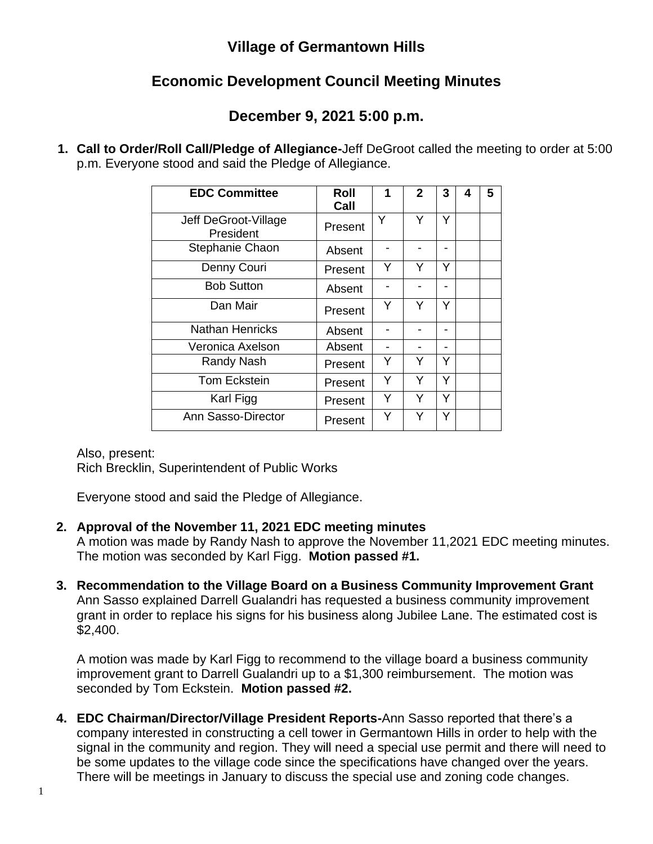## **Village of Germantown Hills**

## **Economic Development Council Meeting Minutes**

## **December 9, 2021 5:00 p.m.**

**1. Call to Order/Roll Call/Pledge of Allegiance-**Jeff DeGroot called the meeting to order at 5:00 p.m. Everyone stood and said the Pledge of Allegiance.

| <b>EDC Committee</b>              | Roll<br>Call | 1 | $\mathbf{2}$ | 3 | 4 | 5 |
|-----------------------------------|--------------|---|--------------|---|---|---|
| Jeff DeGroot-Village<br>President | Present      | Y | Y            | Y |   |   |
| Stephanie Chaon                   | Absent       |   |              |   |   |   |
| Denny Couri                       | Present      | Y | Y            | Y |   |   |
| <b>Bob Sutton</b>                 | Absent       |   |              |   |   |   |
| Dan Mair                          | Present      | Y | Y            | Y |   |   |
| <b>Nathan Henricks</b>            | Absent       |   |              |   |   |   |
| Veronica Axelson                  | Absent       |   |              |   |   |   |
| Randy Nash                        | Present      | Y | Y            | Y |   |   |
| <b>Tom Eckstein</b>               | Present      | Y | Y            | Y |   |   |
| Karl Figg                         | Present      | Y | Y            | Y |   |   |
| Ann Sasso-Director                | Present      | Y | Y            | Y |   |   |

Also, present:

Rich Brecklin, Superintendent of Public Works

Everyone stood and said the Pledge of Allegiance.

 **2. Approval of the November 11, 2021 EDC meeting minutes**

A motion was made by Randy Nash to approve the November 11,2021 EDC meeting minutes. The motion was seconded by Karl Figg. **Motion passed #1.**

 **3. Recommendation to the Village Board on a Business Community Improvement Grant** Ann Sasso explained Darrell Gualandri has requested a business community improvement grant in order to replace his signs for his business along Jubilee Lane. The estimated cost is \$2,400.

A motion was made by Karl Figg to recommend to the village board a business community improvement grant to Darrell Gualandri up to a \$1,300 reimbursement. The motion was seconded by Tom Eckstein. **Motion passed #2.**

**4. EDC Chairman/Director/Village President Reports-**Ann Sasso reported that there's a company interested in constructing a cell tower in Germantown Hills in order to help with the signal in the community and region. They will need a special use permit and there will need to be some updates to the village code since the specifications have changed over the years. There will be meetings in January to discuss the special use and zoning code changes.